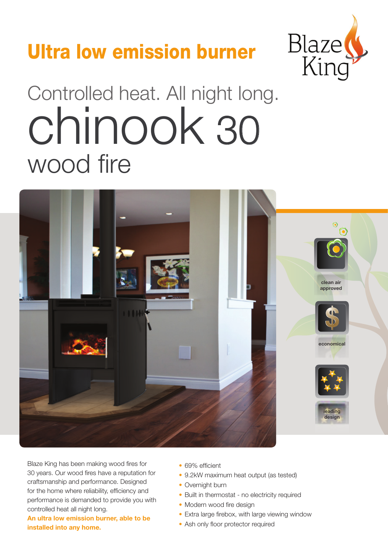## Ultra low emission burner



# Controlled heat. All night long. wood fire chinook 30



Blaze King has been making wood fires for 30 years. Our wood fires have a reputation for craftsmanship and performance. Designed for the home where reliability, efficiency and performance is demanded to provide you with controlled heat all night long.

**An ultra low emission burner, able to be installed into any home.**

- 69% efficient
- 9.2kW maximum heat output (as tested)
- Overnight burn
- Built in thermostat no electricity required
- Modern wood fire design
- Extra large firebox, with large viewing window
- Ash only floor protector required